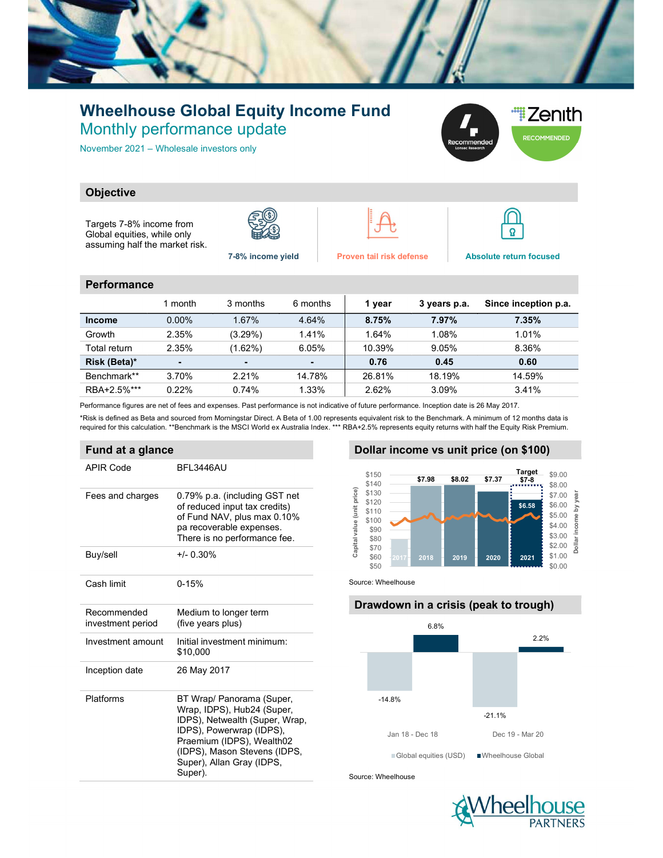

## Wheelhouse Global Equity Income Fund Monthly performance update

November 2021 – Wholesale investors only



### **Objective**

Targets 7-8% income from Global equities, while only assuming half the market risk.









7-8% income yield Proven tail risk defense Absolute return focused

#### **Performance**

|               | 1 month        | 3 months   | 6 months | 1 year | 3 years p.a. | Since inception p.a. |
|---------------|----------------|------------|----------|--------|--------------|----------------------|
| <b>Income</b> | $0.00\%$       | 1.67%      | 4.64%    | 8.75%  | 7.97%        | 7.35%                |
| Growth        | 2.35%          | $(3.29\%)$ | 1.41%    | 1.64%  | 1.08%        | 1.01%                |
| Total return  | 2.35%          | (1.62%)    | 6.05%    | 10.39% | 9.05%        | 8.36%                |
| Risk (Beta)*  | $\blacksquare$ |            |          | 0.76   | 0.45         | 0.60                 |
| Benchmark**   | 3.70%          | 2.21%      | 14.78%   | 26.81% | 18.19%       | 14.59%               |
| RBA+2.5%***   | 0.22%          | 0.74%      | 1.33%    | 2.62%  | 3.09%        | 3.41%                |

Performance figures are net of fees and expenses. Past performance is not indicative of future performance. Inception date is 26 May 2017.

\*Risk is defined as Beta and sourced from Morningstar Direct. A Beta of 1.00 represents equivalent risk to the Benchmark. A minimum of 12 months data is required for this calculation. \*\*Benchmark is the MSCI World ex Australia Index. \*\*\* RBA+2.5% represents equity returns with half the Equity Risk Premium.

#### Fund at a glance

| APIR Code                        | BFL3446AU                                                                                                                                                                                                                  |
|----------------------------------|----------------------------------------------------------------------------------------------------------------------------------------------------------------------------------------------------------------------------|
| Fees and charges                 | 0.79% p.a. (including GST net<br>of reduced input tax credits)<br>of Fund NAV, plus max 0.10%<br>pa recoverable expenses.<br>There is no performance fee.                                                                  |
| Buy/sell                         | $+/- 0.30%$                                                                                                                                                                                                                |
| Cash limit                       | $0 - 15%$                                                                                                                                                                                                                  |
| Recommended<br>investment period | Medium to longer term<br>(five years plus)                                                                                                                                                                                 |
| Investment amount                | Initial investment minimum:<br>\$10,000                                                                                                                                                                                    |
| Inception date                   | 26 May 2017                                                                                                                                                                                                                |
| Platforms                        | BT Wrap/ Panorama (Super,<br>Wrap, IDPS), Hub24 (Super,<br>IDPS), Netwealth (Super, Wrap,<br>IDPS), Powerwrap (IDPS),<br>Praemium (IDPS), Wealth02<br>(IDPS), Mason Stevens (IDPS,<br>Super), Allan Gray (IDPS,<br>Super). |

#### Dollar income vs unit price (on \$100)



Source: Wheelhouse

# Drawdown in a crisis (peak to trough) -14.8% -21.1% 6.8% 2.2% 17 37.98 58.02 57.37 Target 59.00<br>
57.98 58.02 57.37 Target<br>
58.02 57.37 Target<br>
58.00 5 50.00<br>
58.09 5 50.00 5 58.00 5 50.00 5<br>
58.00 5 50.00 5 50.00 5<br>
58.00 5 50.00 5<br>
58.00 5 50.00 5<br>
58.00 5 50.00 5<br>
58.00 5 50.00 5<br> Global equities (USD) Wheelhouse Global

Source: Wheelhouse